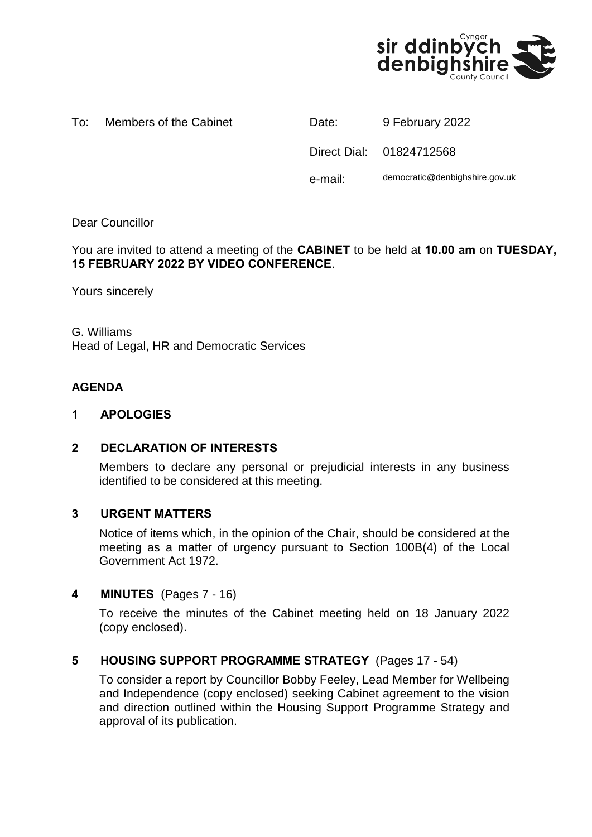

To: Members of the Cabinet Date: 9 February 2022

| Date:   | 9 February 2022                |
|---------|--------------------------------|
|         | Direct Dial: 01824712568       |
| e-mail: | democratic@denbighshire.gov.uk |

# Dear Councillor

You are invited to attend a meeting of the **CABINET** to be held at **10.00 am** on **TUESDAY, 15 FEBRUARY 2022 BY VIDEO CONFERENCE**.

Yours sincerely

G. Williams Head of Legal, HR and Democratic Services

# **AGENDA**

#### **1 APOLOGIES**

## **2 DECLARATION OF INTERESTS**

Members to declare any personal or prejudicial interests in any business identified to be considered at this meeting.

## **3 URGENT MATTERS**

Notice of items which, in the opinion of the Chair, should be considered at the meeting as a matter of urgency pursuant to Section 100B(4) of the Local Government Act 1972.

## **4 MINUTES** (Pages 7 - 16)

To receive the minutes of the Cabinet meeting held on 18 January 2022 (copy enclosed).

## **5 HOUSING SUPPORT PROGRAMME STRATEGY** (Pages 17 - 54)

To consider a report by Councillor Bobby Feeley, Lead Member for Wellbeing and Independence (copy enclosed) seeking Cabinet agreement to the vision and direction outlined within the Housing Support Programme Strategy and approval of its publication.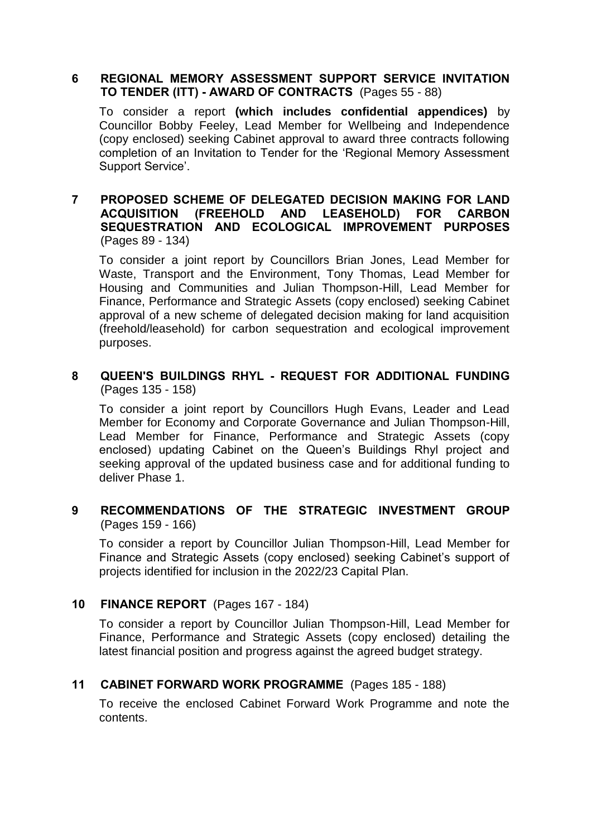#### **6 REGIONAL MEMORY ASSESSMENT SUPPORT SERVICE INVITATION TO TENDER (ITT) - AWARD OF CONTRACTS** (Pages 55 - 88)

To consider a report **(which includes confidential appendices)** by Councillor Bobby Feeley, Lead Member for Wellbeing and Independence (copy enclosed) seeking Cabinet approval to award three contracts following completion of an Invitation to Tender for the 'Regional Memory Assessment Support Service'.

## **7 PROPOSED SCHEME OF DELEGATED DECISION MAKING FOR LAND ACQUISITION (FREEHOLD AND LEASEHOLD) FOR CARBON SEQUESTRATION AND ECOLOGICAL IMPROVEMENT PURPOSES** (Pages 89 - 134)

To consider a joint report by Councillors Brian Jones, Lead Member for Waste, Transport and the Environment, Tony Thomas, Lead Member for Housing and Communities and Julian Thompson-Hill, Lead Member for Finance, Performance and Strategic Assets (copy enclosed) seeking Cabinet approval of a new scheme of delegated decision making for land acquisition (freehold/leasehold) for carbon sequestration and ecological improvement purposes.

# **8 QUEEN'S BUILDINGS RHYL - REQUEST FOR ADDITIONAL FUNDING** (Pages 135 - 158)

To consider a joint report by Councillors Hugh Evans, Leader and Lead Member for Economy and Corporate Governance and Julian Thompson-Hill, Lead Member for Finance, Performance and Strategic Assets (copy enclosed) updating Cabinet on the Queen's Buildings Rhyl project and seeking approval of the updated business case and for additional funding to deliver Phase 1.

# **9 RECOMMENDATIONS OF THE STRATEGIC INVESTMENT GROUP** (Pages 159 - 166)

To consider a report by Councillor Julian Thompson-Hill, Lead Member for Finance and Strategic Assets (copy enclosed) seeking Cabinet's support of projects identified for inclusion in the 2022/23 Capital Plan.

# **10 FINANCE REPORT** (Pages 167 - 184)

To consider a report by Councillor Julian Thompson-Hill, Lead Member for Finance, Performance and Strategic Assets (copy enclosed) detailing the latest financial position and progress against the agreed budget strategy.

# **11 CABINET FORWARD WORK PROGRAMME** (Pages 185 - 188)

To receive the enclosed Cabinet Forward Work Programme and note the contents.